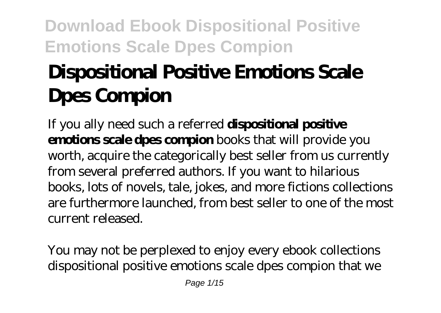# **Dispositional Positive Emotions Scale Dpes Compion**

If you ally need such a referred **dispositional positive emotions scale dpes compion** books that will provide you worth, acquire the categorically best seller from us currently from several preferred authors. If you want to hilarious books, lots of novels, tale, jokes, and more fictions collections are furthermore launched, from best seller to one of the most current released.

You may not be perplexed to enjoy every ebook collections dispositional positive emotions scale dpes compion that we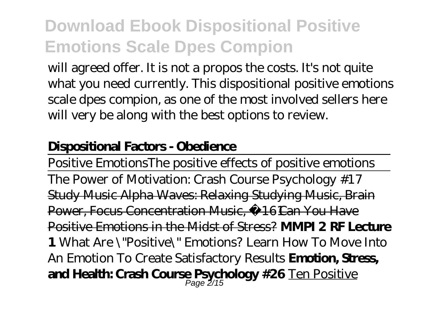will agreed offer. It is not a propos the costs. It's not quite what you need currently. This dispositional positive emotions scale dpes compion, as one of the most involved sellers here will very be along with the best options to review.

#### **Dispositional Factors - Obedience**

Positive Emotions*The positive effects of positive emotions* The Power of Motivation: Crash Course Psychology #17 Study Music Alpha Waves: Relaxing Studying Music, Brain Power, Focus Concentration Music, 16 Can You Have Positive Emotions in the Midst of Stress? **MMPI 2 RF Lecture 1** *What Are \"Positive\" Emotions? Learn How To Move Into An Emotion To Create Satisfactory Results* **Emotion, Stress, and Health: Crash Course Psychology #26** Ten Positive Page 2/15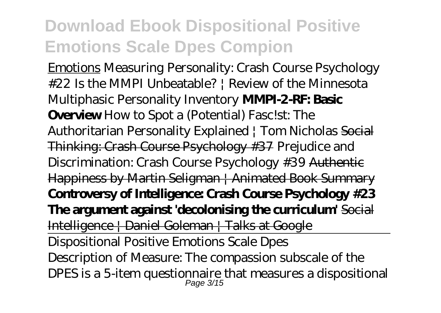Emotions *Measuring Personality: Crash Course Psychology #22* Is the MMPI Unbeatable? | Review of the Minnesota Multiphasic Personality Inventory **MMPI-2-RF: Basic Overview** How to Spot a (Potential) Fasc!st: The Authoritarian Personality Explained | Tom Nicholas Social Thinking: Crash Course Psychology #37 *Prejudice and Discrimination: Crash Course Psychology #39* Authentic Happiness by Martin Seligman | Animated Book Summary **Controversy of Intelligence: Crash Course Psychology #23 The argument against 'decolonising the curriculum'** Social Intelligence | Daniel Goleman | Talks at Google Dispositional Positive Emotions Scale Dpes Description of Measure: The compassion subscale of the

DPES is a 5-item questionnaire that measures a dispositional  $_{Page\;3/15}^{Page\;3/15}$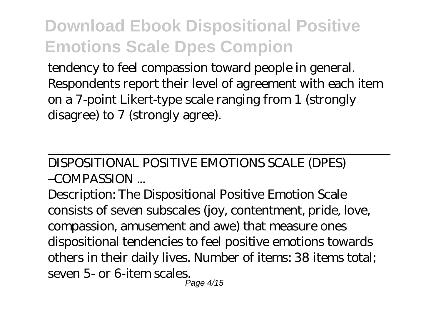tendency to feel compassion toward people in general. Respondents report their level of agreement with each item on a 7-point Likert-type scale ranging from 1 (strongly disagree) to 7 (strongly agree).

#### DISPOSITIONAL POSITIVE EMOTIONS SCALE (DPES) –COMPASSION ...

Description: The Dispositional Positive Emotion Scale consists of seven subscales (joy, contentment, pride, love, compassion, amusement and awe) that measure ones dispositional tendencies to feel positive emotions towards others in their daily lives. Number of items: 38 items total; seven 5- or 6-item scales. Page 4/15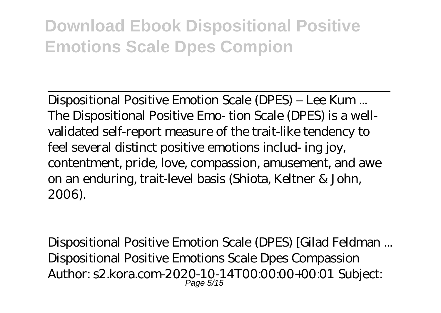Dispositional Positive Emotion Scale (DPES) – Lee Kum ... The Dispositional Positive Emo- tion Scale (DPES) is a wellvalidated self-report measure of the trait-like tendency to feel several distinct positive emotions includ- ing joy, contentment, pride, love, compassion, amusement, and awe on an enduring, trait-level basis (Shiota, Keltner & John, 2006).

Dispositional Positive Emotion Scale (DPES) [Gilad Feldman ... Dispositional Positive Emotions Scale Dpes Compassion Author: s2.kora.com-2020-10-14T00:00:00+00:01 Subject: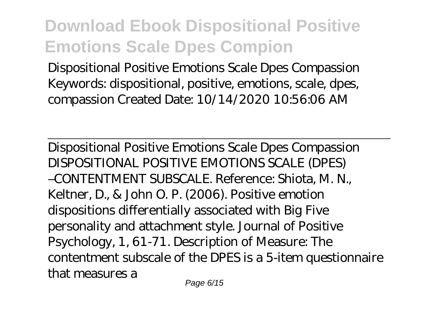Dispositional Positive Emotions Scale Dpes Compassion Keywords: dispositional, positive, emotions, scale, dpes, compassion Created Date: 10/14/2020 10:56:06 AM

Dispositional Positive Emotions Scale Dpes Compassion DISPOSITIONAL POSITIVE EMOTIONS SCALE (DPES) –CONTENTMENT SUBSCALE. Reference: Shiota, M. N., Keltner, D., & John O. P. (2006). Positive emotion dispositions differentially associated with Big Five personality and attachment style. Journal of Positive Psychology, 1, 61-71. Description of Measure: The contentment subscale of the DPES is a 5-item questionnaire that measures a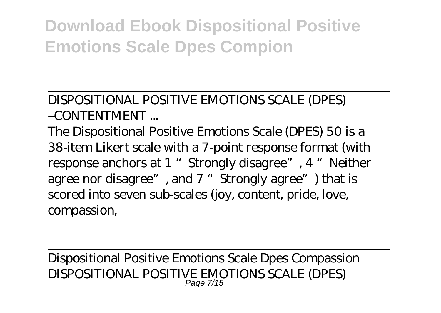DISPOSITIONAL POSITIVE EMOTIONS SCALE (DPES)  $-CONTENTMENT$ 

The Dispositional Positive Emotions Scale (DPES) 50 is a 38-item Likert scale with a 7-point response format (with response anchors at 1 "Strongly disagree", 4 "Neither agree nor disagree", and 7 "Strongly agree") that is scored into seven sub-scales (joy, content, pride, love, compassion,

Dispositional Positive Emotions Scale Dpes Compassion DISPOSITIONAL POSITIVE EMOTIONS SCALE (DPES) Page 7/15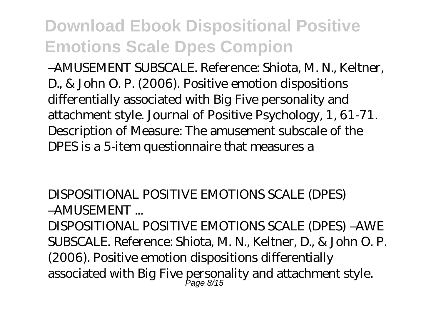–AMUSEMENT SUBSCALE. Reference: Shiota, M. N., Keltner, D., & John O. P. (2006). Positive emotion dispositions differentially associated with Big Five personality and attachment style. Journal of Positive Psychology, 1, 61-71. Description of Measure: The amusement subscale of the DPES is a 5-item questionnaire that measures a

DISPOSITIONAL POSITIVE EMOTIONS SCALE (DPES) –AMUSEMENT ...

DISPOSITIONAL POSITIVE EMOTIONS SCALE (DPES) –AWE SUBSCALE. Reference: Shiota, M. N., Keltner, D., & John O. P. (2006). Positive emotion dispositions differentially associated with Big Five personality and attachment style.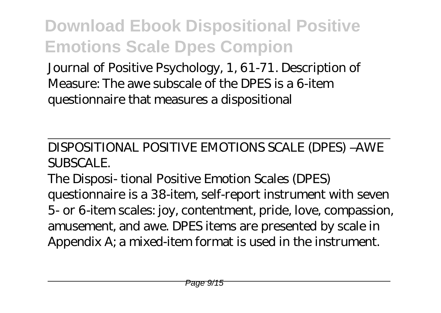Journal of Positive Psychology, 1, 61-71. Description of Measure: The awe subscale of the DPES is a 6-item questionnaire that measures a dispositional

DISPOSITIONAL POSITIVE EMOTIONS SCALE (DPES) –AWE SUBSCALE.

The Disposi- tional Positive Emotion Scales (DPES) questionnaire is a 38-item, self-report instrument with seven 5- or 6-item scales: joy, contentment, pride, love, compassion, amusement, and awe. DPES items are presented by scale in Appendix A; a mixed-item format is used in the instrument.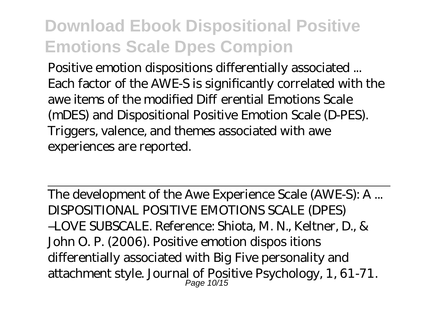Positive emotion dispositions differentially associated ... Each factor of the AWE-S is significantly correlated with the awe items of the modified Di erential Emotions Scale (mDES) and Dispositional Positive Emotion Scale (D-PES). Triggers, valence, and themes associated with awe experiences are reported.

The development of the Awe Experience Scale (AWE-S): A ... DISPOSITIONAL POSITIVE EMOTIONS SCALE (DPES) –LOVE SUBSCALE. Reference: Shiota, M. N., Keltner, D., & John O. P. (2006). Positive emotion dispos itions differentially associated with Big Five personality and attachment style. Journal of Positive Psychology, 1, 61-71.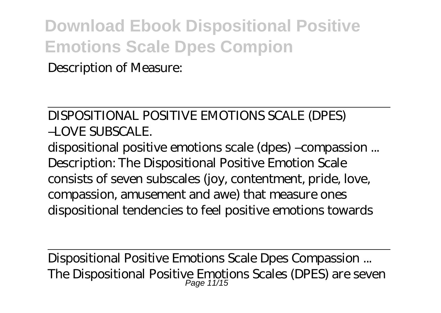Description of Measure:

#### DISPOSITIONAL POSITIVE EMOTIONS SCALE (DPES)  $-$ LOVE SUBSCALE

dispositional positive emotions scale (dpes) –compassion ... Description: The Dispositional Positive Emotion Scale consists of seven subscales (joy, contentment, pride, love, compassion, amusement and awe) that measure ones dispositional tendencies to feel positive emotions towards

Dispositional Positive Emotions Scale Dpes Compassion ... The Dispositional Positive Emotions Scales (DPES) are seven Page 11/15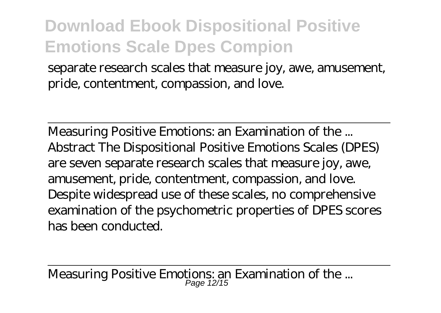separate research scales that measure joy, awe, amusement, pride, contentment, compassion, and love.

Measuring Positive Emotions: an Examination of the ... Abstract The Dispositional Positive Emotions Scales (DPES) are seven separate research scales that measure joy, awe, amusement, pride, contentment, compassion, and love. Despite widespread use of these scales, no comprehensive examination of the psychometric properties of DPES scores has been conducted.

Measuring Positive Emotions: an Examination of the ...<br>Page 12/15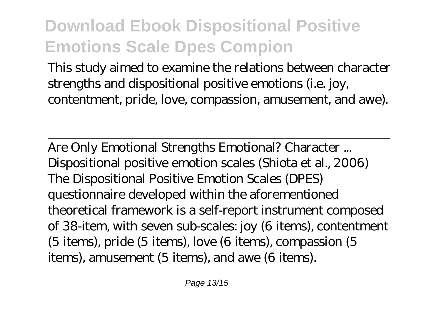This study aimed to examine the relations between character strengths and dispositional positive emotions (i.e. joy, contentment, pride, love, compassion, amusement, and awe).

Are Only Emotional Strengths Emotional? Character ... Dispositional positive emotion scales (Shiota et al., 2006) The Dispositional Positive Emotion Scales (DPES) questionnaire developed within the aforementioned theoretical framework is a self-report instrument composed of 38-item, with seven sub-scales: joy (6 items), contentment (5 items), pride (5 items), love (6 items), compassion (5 items), amusement (5 items), and awe (6 items).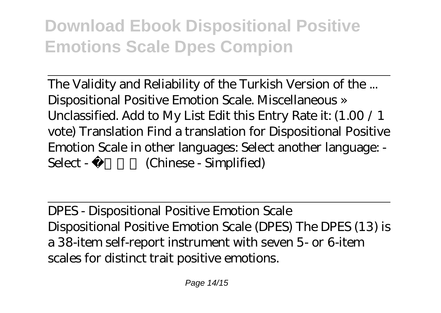The Validity and Reliability of the Turkish Version of the ... Dispositional Positive Emotion Scale. Miscellaneous » Unclassified. Add to My List Edit this Entry Rate it: (1.00 / 1 vote) Translation Find a translation for Dispositional Positive Emotion Scale in other languages: Select another language: - Select - **Chinese** - Simplified

DPES - Dispositional Positive Emotion Scale Dispositional Positive Emotion Scale (DPES) The DPES (13) is a 38-item self-report instrument with seven 5- or 6-item scales for distinct trait positive emotions.